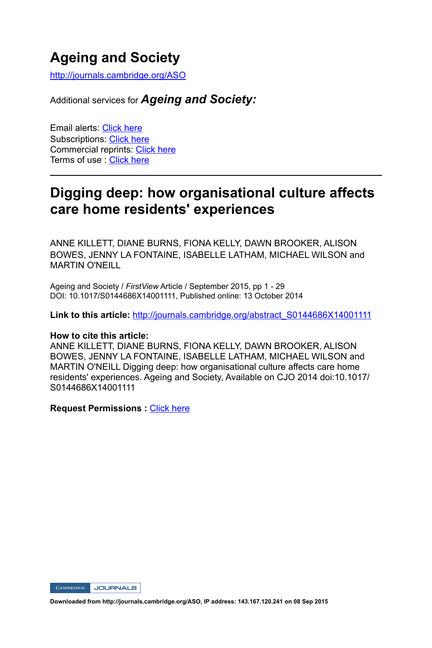# **Ageing and Society**

http://journals.cambridge.org/ASO

Additional services for *Ageing and Society:*

Email alerts: Click here Subscriptions: Click here Commercial reprints: Click here Terms of use : Click here

# **Digging deep: how organisational culture affects care home residents' experiences**

ANNE KILLETT, DIANE BURNS, FIONA KELLY, DAWN BROOKER, ALISON BOWES, JENNY LA FONTAINE, ISABELLE LATHAM, MICHAEL WILSON and MARTIN O'NEILL

Ageing and Society / *FirstView* Article / September 2015, pp 1 - 29 DOI: 10.1017/S0144686X14001111, Published online: 13 October 2014

**Link to this article:** http://journals.cambridge.org/abstract\_S0144686X14001111

## **How to cite this article:**

ANNE KILLETT, DIANE BURNS, FIONA KELLY, DAWN BROOKER, ALISON BOWES, JENNY LA FONTAINE, ISABELLE LATHAM, MICHAEL WILSON and MARTIN O'NEILL Digging deep: how organisational culture affects care home residents' experiences. Ageing and Society, Available on CJO 2014 doi:10.1017/ S0144686X14001111

**Request Permissions :** Click here

CAMBRIDGE JOURNALS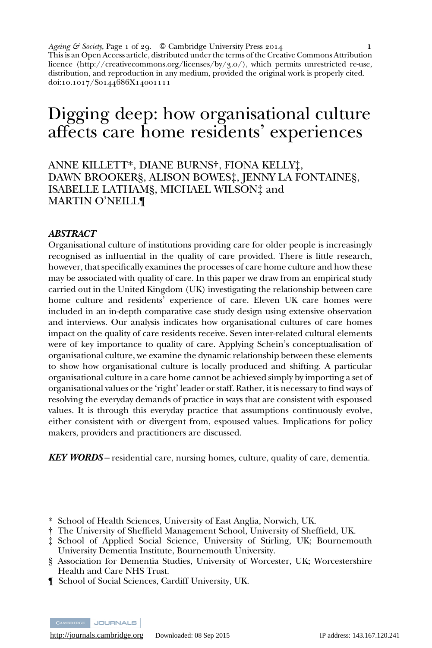Ageing & Society, Page 1 of 29. © Cambridge University Press 2014 This is an Open Access article, distributed under the terms of the Creative Commons Attribution licence (http://creativecommons.org/licenses/by/3.0/), which permits unrestricted re-use, distribution, and reproduction in any medium, provided the original work is properly cited. doi:10.1017/S0144686X14001111  $\mathbf{I}$ 

# Digging deep: how organisational culture affects care home residents' experiences

ANNE KILLETT\*, DIANE BURNS†, FIONA KELLY‡, DAWN BROOKER§, ALISON BOWES‡, JENNY LA FONTAINE§, ISABELLE LATHAM§, MICHAEL WILSON‡ and MARTIN O'NEILL¶

### **ARSTRACT**

Organisational culture of institutions providing care for older people is increasingly recognised as influential in the quality of care provided. There is little research, however, that specifically examines the processes of care home culture and how these may be associated with quality of care. In this paper we draw from an empirical study carried out in the United Kingdom (UK) investigating the relationship between care home culture and residents' experience of care. Eleven UK care homes were included in an in-depth comparative case study design using extensive observation and interviews. Our analysis indicates how organisational cultures of care homes impact on the quality of care residents receive. Seven inter-related cultural elements were of key importance to quality of care. Applying Schein's conceptualisation of organisational culture, we examine the dynamic relationship between these elements to show how organisational culture is locally produced and shifting. A particular organisational culture in a care home cannot be achieved simply by importing a set of organisational values or the 'right' leader or staff. Rather, it is necessary to find ways of resolving the everyday demands of practice in ways that are consistent with espoused values. It is through this everyday practice that assumptions continuously evolve, either consistent with or divergent from, espoused values. Implications for policy makers, providers and practitioners are discussed.

KEY WORDS *–* residential care, nursing homes, culture, quality of care, dementia.

- \* School of Health Sciences, University of East Anglia, Norwich, UK.
- † The University of Sheffield Management School, University of Sheffield, UK.
- ‡ School of Applied Social Science, University of Stirling, UK; Bournemouth University Dementia Institute, Bournemouth University.
- § Association for Dementia Studies, University of Worcester, UK; Worcestershire Health and Care NHS Trust.
- ¶ School of Social Sciences, Cardiff University, UK.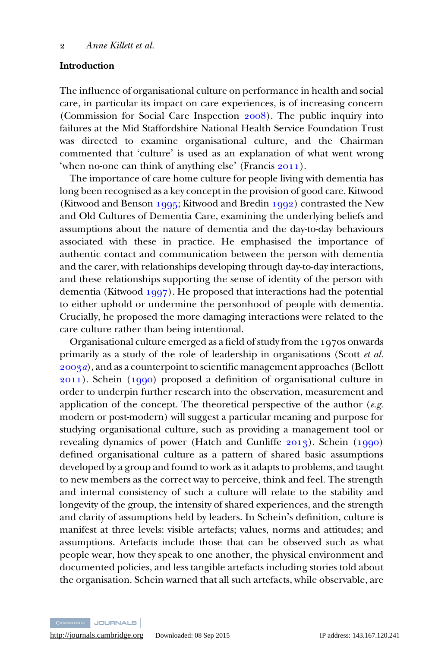## Introduction

The influence of organisational culture on performance in health and social care, in particular its impact on care experiences, is of increasing concern (Commission for Social Care Inspection  $2008$ ). The public inquiry into failures at the Mid Staffordshire National Health Service Foundation Trust was directed to examine organisational culture, and the Chairman commented that 'culture' is used as an explanation of what went wrong 'when no-one can think of anything else' (Francis  $2011$ ).

The importance of care home culture for people living with dementia has long been recognised as a key concept in the provision of good care. Kitwood (Kitwood and Benson  $1995$ ; Kitwood and Bredin  $1992$ ) contrasted the New and Old Cultures of Dementia Care, examining the underlying beliefs and assumptions about the nature of dementia and the day-to-day behaviours associated with these in practice. He emphasised the importance of authentic contact and communication between the person with dementia and the carer, with relationships developing through day-to-day interactions, and these relationships supporting the sense of identity of the person with dementia (Kitwood  $1997$ ). He proposed that interactions had the potential to either uphold or undermine the personhood of people with dementia. Crucially, he proposed the more damaging interactions were related to the care culture rather than being intentional.

Organisational culture emerged as a field of study from the 1970s onwards primarily as a study of the role of leadership in organisations (Scott et al.  $a_0$ <sub>2</sub>, and as a counterpoint to scientific management approaches (Bellott  $2011$ ). Schein (1990) proposed a definition of organisational culture in order to underpin further research into the observation, measurement and application of the concept. The theoretical perspective of the author ( $e.g.$ ) modern or post-modern) will suggest a particular meaning and purpose for studying organisational culture, such as providing a management tool or revealing dynamics of power (Hatch and Cunliffe  $2013$ ). Schein (1990). defined organisational culture as a pattern of shared basic assumptions developed by a group and found to work as it adapts to problems, and taught to new members as the correct way to perceive, think and feel. The strength and internal consistency of such a culture will relate to the stability and longevity of the group, the intensity of shared experiences, and the strength and clarity of assumptions held by leaders. In Schein's definition, culture is manifest at three levels: visible artefacts; values, norms and attitudes; and assumptions. Artefacts include those that can be observed such as what people wear, how they speak to one another, the physical environment and documented policies, and less tangible artefacts including stories told about the organisation. Schein warned that all such artefacts, while observable, are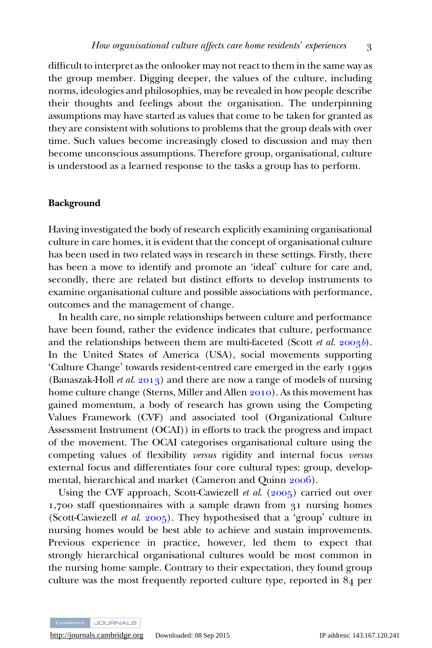difficult to interpret as the onlooker may not react to them in the same way as the group member. Digging deeper, the values of the culture, including norms, ideologies and philosophies, may be revealed in how people describe their thoughts and feelings about the organisation. The underpinning assumptions may have started as values that come to be taken for granted as they are consistent with solutions to problems that the group deals with over time. Such values become increasingly closed to discussion and may then become unconscious assumptions. Therefore group, organisational, culture is understood as a learned response to the tasks a group has to perform.

#### Background

Having investigated the body of research explicitly examining organisational culture in care homes, it is evident that the concept of organisational culture has been used in two related ways in research in these settings. Firstly, there has been a move to identify and promote an 'ideal' culture for care and, secondly, there are related but distinct efforts to develop instruments to examine organisational culture and possible associations with performance, outcomes and the management of change.

In health care, no simple relationships between culture and performance have been found, rather the evidence indicates that culture, performance and the relationships between them are multi-faceted (Scott *et al.*  $2003b$ ). In the United States of America (USA), social movements supporting 'Culture Change' towards resident-centred care emerged in the early 1990s (Banaszak-Holl *et al.* 2013) and there are now a range of models of nursing home culture change (Sterns, Miller and Allen  $2010$ ). As this movement has gained momentum, a body of research has grown using the Competing Values Framework (CVF) and associated tool (Organizational Culture Assessment Instrument (OCAI)) in efforts to track the progress and impact of the movement. The OCAI categorises organisational culture using the competing values of flexibility versus rigidity and internal focus versus external focus and differentiates four core cultural types: group, developmental, hierarchical and market (Cameron and Quinn 2006).

Using the CVF approach, Scott-Cawiezell *et al.* ( $2005$ ) carried out over  $1,700$  staff questionnaires with a sample drawn from  $31$  nursing homes (Scott-Cawiezell et al.  $2005$ ). They hypothesised that a 'group' culture in nursing homes would be best able to achieve and sustain improvements. Previous experience in practice, however, led them to expect that strongly hierarchical organisational cultures would be most common in the nursing home sample. Contrary to their expectation, they found group culture was the most frequently reported culture type, reported in  $84$  per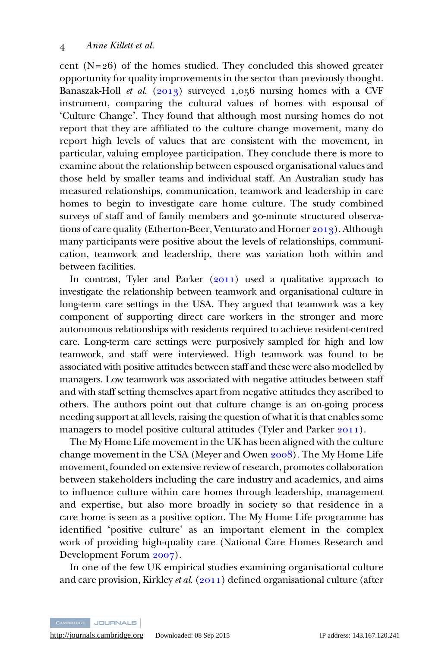cent  $(N = 26)$  of the homes studied. They concluded this showed greater opportunity for quality improvements in the sector than previously thought. Banaszak-Holl et al.  $(2013)$  surveyed 1,056 nursing homes with a CVF instrument, comparing the cultural values of homes with espousal of 'Culture Change'. They found that although most nursing homes do not report that they are affiliated to the culture change movement, many do report high levels of values that are consistent with the movement, in particular, valuing employee participation. They conclude there is more to examine about the relationship between espoused organisational values and those held by smaller teams and individual staff. An Australian study has measured relationships, communication, teamwork and leadership in care homes to begin to investigate care home culture. The study combined surveys of staff and of family members and 30-minute structured observations of care quality (Etherton-Beer, Venturato and Horner 2013). Although many participants were positive about the levels of relationships, communication, teamwork and leadership, there was variation both within and between facilities.

In contrast, Tyler and Parker  $(2011)$  used a qualitative approach to investigate the relationship between teamwork and organisational culture in long-term care settings in the USA. They argued that teamwork was a key component of supporting direct care workers in the stronger and more autonomous relationships with residents required to achieve resident-centred care. Long-term care settings were purposively sampled for high and low teamwork, and staff were interviewed. High teamwork was found to be associated with positive attitudes between staff and these were also modelled by managers. Low teamwork was associated with negative attitudes between staff and with staff setting themselves apart from negative attitudes they ascribed to others. The authors point out that culture change is an on-going process needing support at all levels, raising the question of what it is that enables some managers to model positive cultural attitudes (Tyler and Parker 2011).

The My Home Life movement in the UK has been aligned with the culture change movement in the USA (Meyer and Owen  $2008$ ). The My Home Life movement, founded on extensive review of research, promotes collaboration between stakeholders including the care industry and academics, and aims to influence culture within care homes through leadership, management and expertise, but also more broadly in society so that residence in a care home is seen as a positive option. The My Home Life programme has identified 'positive culture' as an important element in the complex work of providing high-quality care (National Care Homes Research and Development Forum 2007).

In one of the few UK empirical studies examining organisational culture and care provision, Kirkley *et al.* (2011) defined organisational culture (after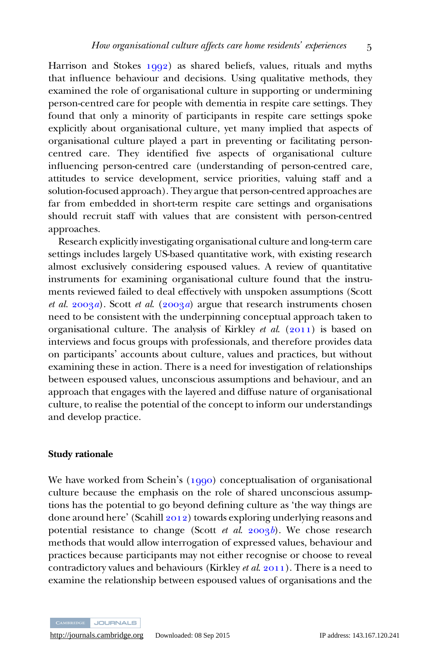Harrison and Stokes  $1992$ ) as shared beliefs, values, rituals and myths that influence behaviour and decisions. Using qualitative methods, they examined the role of organisational culture in supporting or undermining person-centred care for people with dementia in respite care settings. They found that only a minority of participants in respite care settings spoke explicitly about organisational culture, yet many implied that aspects of organisational culture played a part in preventing or facilitating personcentred care. They identified five aspects of organisational culture influencing person-centred care (understanding of person-centred care, attitudes to service development, service priorities, valuing staff and a solution-focused approach). They argue that person-centred approaches are far from embedded in short-term respite care settings and organisations should recruit staff with values that are consistent with person-centred approaches.

Research explicitly investigating organisational culture and long-term care settings includes largely US-based quantitative work, with existing research almost exclusively considering espoused values. A review of quantitative instruments for examining organisational culture found that the instruments reviewed failed to deal effectively with unspoken assumptions (Scott et al.  $2003a$ . Scott et al. (2003a) argue that research instruments chosen need to be consistent with the underpinning conceptual approach taken to organisational culture. The analysis of Kirkley *et al.* ( $2011$ ) is based on interviews and focus groups with professionals, and therefore provides data on participants' accounts about culture, values and practices, but without examining these in action. There is a need for investigation of relationships between espoused values, unconscious assumptions and behaviour, and an approach that engages with the layered and diffuse nature of organisational culture, to realise the potential of the concept to inform our understandings and develop practice.

#### Study rationale

We have worked from Schein's  $(1990)$  conceptualisation of organisational culture because the emphasis on the role of shared unconscious assumptions has the potential to go beyond defining culture as 'the way things are done around here' (Scahill 2012) towards exploring underlying reasons and potential resistance to change (Scott *et al.*  $2003b$ ). We chose research methods that would allow interrogation of expressed values, behaviour and practices because participants may not either recognise or choose to reveal contradictory values and behaviours (Kirkley et al.  $2011$ ). There is a need to examine the relationship between espoused values of organisations and the

<http://journals.cambridge.org> Downloaded: 08 Sep 2015 IP address: 143.167.120.241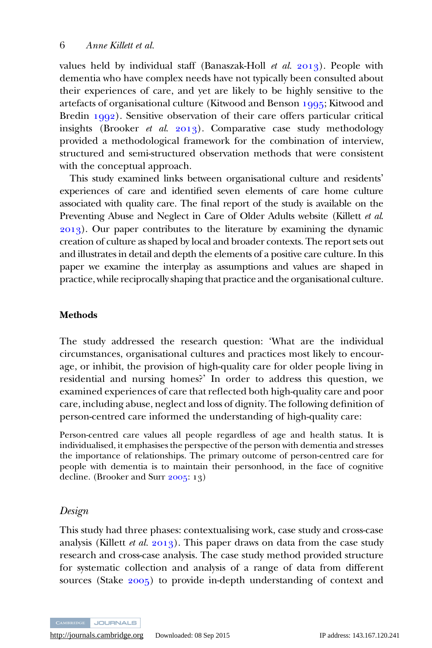values held by individual staff (Banaszak-Holl et al.  $2013$ ). People with dementia who have complex needs have not typically been consulted about their experiences of care, and yet are likely to be highly sensitive to the artefacts of organisational culture (Kitwood and Benson  $1995$ ; Kitwood and Bredin  $1992$ ). Sensitive observation of their care offers particular critical insights (Brooker et al.  $2013$ ). Comparative case study methodology provided a methodological framework for the combination of interview, structured and semi-structured observation methods that were consistent with the conceptual approach.

This study examined links between organisational culture and residents' experiences of care and identified seven elements of care home culture associated with quality care. The final report of the study is available on the Preventing Abuse and Neglect in Care of Older Adults website (Killett et al. ). Our paper contributes to the literature by examining the dynamic creation of culture as shaped by local and broader contexts. The report sets out and illustrates in detail and depth the elements of a positive care culture. In this paper we examine the interplay as assumptions and values are shaped in practice, while reciprocally shaping that practice and the organisational culture.

## Methods

The study addressed the research question: 'What are the individual circumstances, organisational cultures and practices most likely to encourage, or inhibit, the provision of high-quality care for older people living in residential and nursing homes?' In order to address this question, we examined experiences of care that reflected both high-quality care and poor care, including abuse, neglect and loss of dignity. The following definition of person-centred care informed the understanding of high-quality care:

Person-centred care values all people regardless of age and health status. It is individualised, it emphasises the perspective of the person with dementia and stresses the importance of relationships. The primary outcome of person-centred care for people with dementia is to maintain their personhood, in the face of cognitive decline. (Brooker and Surr  $2005$ : 13)

# Design

This study had three phases: contextualising work, case study and cross-case analysis (Killett *et al.* 2013). This paper draws on data from the case study research and cross-case analysis. The case study method provided structure for systematic collection and analysis of a range of data from different sources (Stake 2005) to provide in-depth understanding of context and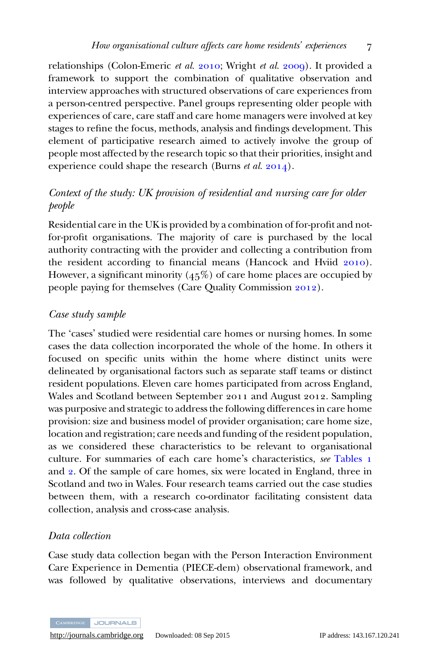relationships (Colon-Emeric et al. 2010; Wright et al. 2009). It provided a framework to support the combination of qualitative observation and interview approaches with structured observations of care experiences from a person-centred perspective. Panel groups representing older people with experiences of care, care staff and care home managers were involved at key stages to refine the focus, methods, analysis and findings development. This element of participative research aimed to actively involve the group of people most affected by the research topic so that their priorities, insight and experience could shape the research (Burns et al.  $2014$ ).

# Context of the study: UK provision of residential and nursing care for older people

Residential care in the UK is provided by a combination of for-profit and notfor-profit organisations. The majority of care is purchased by the local authority contracting with the provider and collecting a contribution from the resident according to financial means (Hancock and Hviid  $2010$ ). However, a significant minority  $(45\%)$  of care home places are occupied by people paying for themselves (Care Quality Commission 2012).

## Case study sample

The 'cases' studied were residential care homes or nursing homes. In some cases the data collection incorporated the whole of the home. In others it focused on specific units within the home where distinct units were delineated by organisational factors such as separate staff teams or distinct resident populations. Eleven care homes participated from across England, Wales and Scotland between September 2011 and August 2012. Sampling was purposive and strategic to address the following differences in care home provision: size and business model of provider organisation; care home size, location and registration; care needs and funding of the resident population, as we considered these characteristics to be relevant to organisational culture. For summaries of each care home's characteristics, see [Tables](#page-8-0) 1 and  $\overline{2}$ . Of the sample of care homes, six were located in England, three in Scotland and two in Wales. Four research teams carried out the case studies between them, with a research co-ordinator facilitating consistent data collection, analysis and cross-case analysis.

## Data collection

Case study data collection began with the Person Interaction Environment Care Experience in Dementia (PIECE-dem) observational framework, and was followed by qualitative observations, interviews and documentary

<http://journals.cambridge.org> Downloaded: 08 Sep 2015 IP address: 143.167.120.241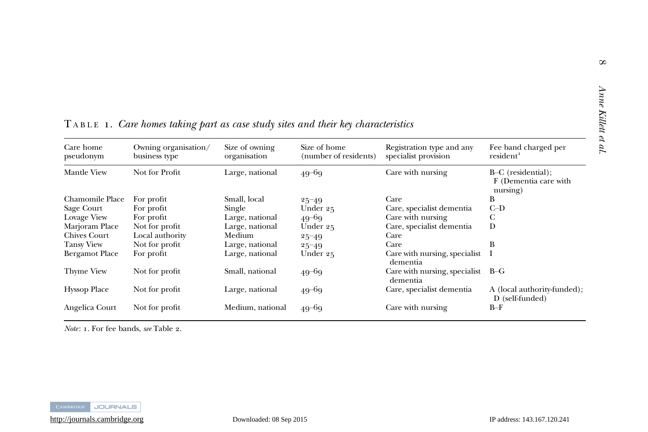$\infty$ 

| Care home<br>pseudonym | Owning organisation/<br>business type | Size of owning<br>organisation | Size of home<br>(number of residents) | Registration type and any<br>specialist provision | Fee band charged per<br>resident <sup>1</sup>           |
|------------------------|---------------------------------------|--------------------------------|---------------------------------------|---------------------------------------------------|---------------------------------------------------------|
| Mantle View            | Not for Profit                        | Large, national                | $49 - 69$                             | Care with nursing                                 | B-C (residential);<br>F (Dementia care with<br>nursing) |
| Chamomile Place        | For profit                            | Small, local                   | $25 - 49$                             | Care                                              | B                                                       |
| Sage Court             | For profit                            | Single                         | Under 25                              | Care, specialist dementia                         | $C-D$                                                   |
| Lovage View            | For profit                            | Large, national                | $49 - 69$                             | Care with nursing                                 | C                                                       |
| Marjoram Place         | Not for profit                        | Large, national                | Under 25                              | Care, specialist dementia                         | D                                                       |
| <b>Chives Court</b>    | Local authority                       | Medium                         | $25 - 49$                             | Care                                              |                                                         |
| <b>Tansy View</b>      | Not for profit                        | Large, national                | $25 - 49$                             | Care                                              | B                                                       |
| <b>Bergamot Place</b>  | For profit                            | Large, national                | Under 25                              | Care with nursing, specialist I<br>dementia       |                                                         |
| Thyme View             | Not for profit                        | Small, national                | $49 - 69$                             | Care with nursing, specialist B-G<br>dementia     |                                                         |
| <b>Hyssop Place</b>    | Not for profit                        | Large, national                | $49 - 69$                             | Care, specialist dementia                         | A (local authority-funded):<br>D (self-funded)          |
| Angelica Court         | Not for profit                        | Medium, national               | $49 - 69$                             | Care with nursing                                 | $B-F$                                                   |

<span id="page-8-0"></span> $\texttt{Table 1.}$  Care homes taking part as case study sites and their key characteristics

*Note*: 1. For fee bands, *see* Table 2.

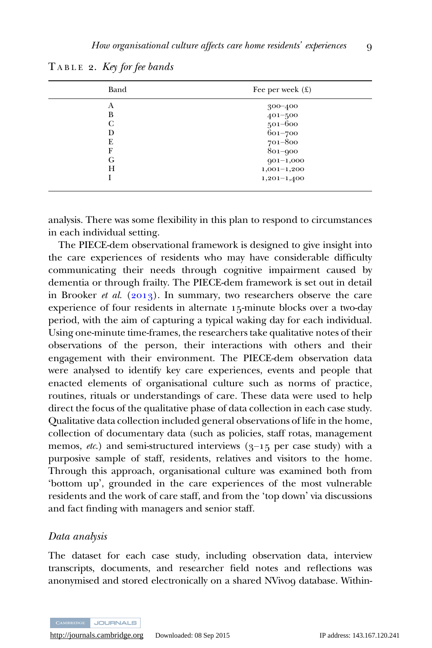| Band | Fee per week $(\pounds)$ |
|------|--------------------------|
| Α    | 300-400                  |
| B    | $401 - 500$              |
| C    | $501 - 600$              |
| D    | $601 - 700$              |
| E    | $701 - 800$              |
| F    | 801-900                  |
| G    | $901-1,000$              |
| Н    | $1,001-1,200$            |
|      | $1,201-1,400$            |

<span id="page-9-0"></span>TABLE 2. Key for fee bands

analysis. There was some flexibility in this plan to respond to circumstances in each individual setting.

The PIECE-dem observational framework is designed to give insight into the care experiences of residents who may have considerable difficulty communicating their needs through cognitive impairment caused by dementia or through frailty. The PIECE-dem framework is set out in detail in Brooker *et al.* (2013). In summary, two researchers observe the care experience of four residents in alternate  $15$ -minute blocks over a two-day period, with the aim of capturing a typical waking day for each individual. Using one-minute time-frames, the researchers take qualitative notes of their observations of the person, their interactions with others and their engagement with their environment. The PIECE-dem observation data were analysed to identify key care experiences, events and people that enacted elements of organisational culture such as norms of practice, routines, rituals or understandings of care. These data were used to help direct the focus of the qualitative phase of data collection in each case study. Qualitative data collection included general observations of life in the home, collection of documentary data (such as policies, staff rotas, management memos, etc.) and semi-structured interviews  $(3-15$  per case study) with a purposive sample of staff, residents, relatives and visitors to the home. Through this approach, organisational culture was examined both from 'bottom up', grounded in the care experiences of the most vulnerable residents and the work of care staff, and from the 'top down' via discussions and fact finding with managers and senior staff.

### Data analysis

The dataset for each case study, including observation data, interview transcripts, documents, and researcher field notes and reflections was anonymised and stored electronically on a shared NVivoq database. Within-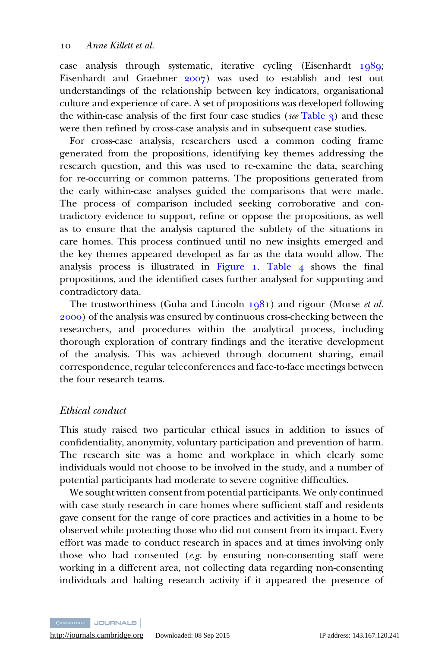case analysis through systematic, iterative cycling (Eisenhardt  $1089$ ; Eisenhardt and Graebner  $2007$ ) was used to establish and test out understandings of the relationship between key indicators, organisational culture and experience of care. A set of propositions was developed following the within-case analysis of the first four case studies (see [Table](#page-11-0)  $_3$ ) and these were then refined by cross-case analysis and in subsequent case studies.

For cross-case analysis, researchers used a common coding frame generated from the propositions, identifying key themes addressing the research question, and this was used to re-examine the data, searching for re-occurring or common patterns. The propositions generated from the early within-case analyses guided the comparisons that were made. The process of comparison included seeking corroborative and contradictory evidence to support, refine or oppose the propositions, as well as to ensure that the analysis captured the subtlety of the situations in care homes. This process continued until no new insights emerged and the key themes appeared developed as far as the data would allow. The analysis process is illustrated in [Figure](#page-12-0) 1. [Table](#page-13-0)  $4$  shows the final propositions, and the identified cases further analysed for supporting and contradictory data.

The trustworthiness (Guba and Lincoln  $1\alpha/81$ ) and rigour (Morse *et al.*) ) of the analysis was ensured by continuous cross-checking between the researchers, and procedures within the analytical process, including thorough exploration of contrary findings and the iterative development of the analysis. This was achieved through document sharing, email correspondence, regular teleconferences and face-to-face meetings between the four research teams.

## Ethical conduct

This study raised two particular ethical issues in addition to issues of confidentiality, anonymity, voluntary participation and prevention of harm. The research site was a home and workplace in which clearly some individuals would not choose to be involved in the study, and a number of potential participants had moderate to severe cognitive difficulties.

We sought written consent from potential participants. We only continued with case study research in care homes where sufficient staff and residents gave consent for the range of core practices and activities in a home to be observed while protecting those who did not consent from its impact. Every effort was made to conduct research in spaces and at times involving only those who had consented  $(e.g.$  by ensuring non-consenting staff were working in a different area, not collecting data regarding non-consenting individuals and halting research activity if it appeared the presence of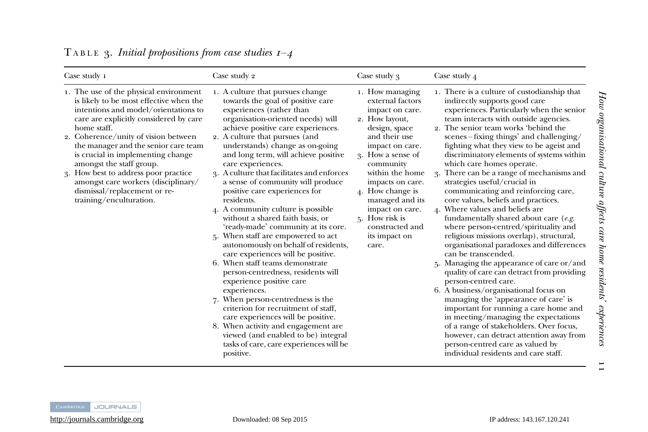| Case study 1                                                                                                                                                                                                                                                                                                                                                                                                                                                                  | Case study 2                                                                                                                                                                                                                                                                                                                                                                                                                                                                                                                                                                                                                                                                                                                                                                                                                                                                                                                                                                                                                                                       | Case study 3                                                                                                                                                                                                                                                                                                                    | Case study $4$                                                                                                                                                                                                                                                                                                                                                                                                                                                                                                                                                                                                                                                                                                                                                                                                                                                                                                                                                                                                                                                                                                                                                                                                                    |
|-------------------------------------------------------------------------------------------------------------------------------------------------------------------------------------------------------------------------------------------------------------------------------------------------------------------------------------------------------------------------------------------------------------------------------------------------------------------------------|--------------------------------------------------------------------------------------------------------------------------------------------------------------------------------------------------------------------------------------------------------------------------------------------------------------------------------------------------------------------------------------------------------------------------------------------------------------------------------------------------------------------------------------------------------------------------------------------------------------------------------------------------------------------------------------------------------------------------------------------------------------------------------------------------------------------------------------------------------------------------------------------------------------------------------------------------------------------------------------------------------------------------------------------------------------------|---------------------------------------------------------------------------------------------------------------------------------------------------------------------------------------------------------------------------------------------------------------------------------------------------------------------------------|-----------------------------------------------------------------------------------------------------------------------------------------------------------------------------------------------------------------------------------------------------------------------------------------------------------------------------------------------------------------------------------------------------------------------------------------------------------------------------------------------------------------------------------------------------------------------------------------------------------------------------------------------------------------------------------------------------------------------------------------------------------------------------------------------------------------------------------------------------------------------------------------------------------------------------------------------------------------------------------------------------------------------------------------------------------------------------------------------------------------------------------------------------------------------------------------------------------------------------------|
| 1. The use of the physical environment<br>is likely to be most effective when the<br>intentions and model/orientations to<br>care are explicitly considered by care<br>home staff.<br>2. Coherence/unity of vision between<br>the manager and the senior care team<br>is crucial in implementing change<br>amongst the staff group.<br>3. How best to address poor practice<br>amongst care workers (disciplinary/<br>dismissal/replacement or re-<br>training/enculturation. | 1. A culture that pursues change<br>towards the goal of positive care<br>experiences (rather than<br>organisation-oriented needs) will<br>achieve positive care experiences.<br>2. A culture that pursues (and<br>understands) change as on-going<br>and long term, will achieve positive<br>care experiences.<br>3. A culture that facilitates and enforces<br>a sense of community will produce<br>positive care experiences for<br>residents.<br>4. A community culture is possible<br>without a shared faith basis, or<br>'ready-made' community at its core.<br>5. When staff are empowered to act<br>autonomously on behalf of residents,<br>care experiences will be positive.<br>6. When staff teams demonstrate<br>person-centredness, residents will<br>experience positive care<br>experiences.<br>7. When person-centredness is the<br>criterion for recruitment of staff.<br>care experiences will be positive.<br>8. When activity and engagement are<br>viewed (and enabled to be) integral<br>tasks of care, care experiences will be<br>positive. | 1. How managing<br>external factors<br>impact on care.<br>2. How layout,<br>design, space<br>and their use<br>impact on care.<br>3. How a sense of<br>community<br>within the home<br>impacts on care.<br>4. How change is<br>managed and its<br>impact on care.<br>5. How risk is<br>constructed and<br>its impact on<br>care. | 1. There is a culture of custodianship that<br>indirectly supports good care<br>experiences. Particularly when the senior<br>team interacts with outside agencies.<br>2. The senior team works 'behind the<br>scenes-fixing things' and challenging/<br>fighting what they view to be ageist and<br>discriminatory elements of systems within<br>which care homes operate.<br>3. There can be a range of mechanisms and<br>strategies useful/crucial in<br>communicating and reinforcing care,<br>core values, beliefs and practices.<br>4. Where values and beliefs are<br>fundamentally shared about care (e.g.<br>where person-centred/spirituality and<br>religious missions overlap), structural,<br>organisational paradoxes and differences<br>can be transcended.<br>5. Managing the appearance of care or/and<br>quality of care can detract from providing<br>person-centred care.<br>6. A business/organisational focus on<br>managing the 'appearance of care' is<br>important for running a care home and<br>in meeting/managing the expectations<br>of a range of stakeholders. Over focus,<br>however, can detract attention away from<br>person-centred care as valued by<br>individual residents and care staff. |

# <span id="page-11-0"></span> $\texttt{Table 3.}$  Initial propositions from case studies 1–4

 $\overline{1}$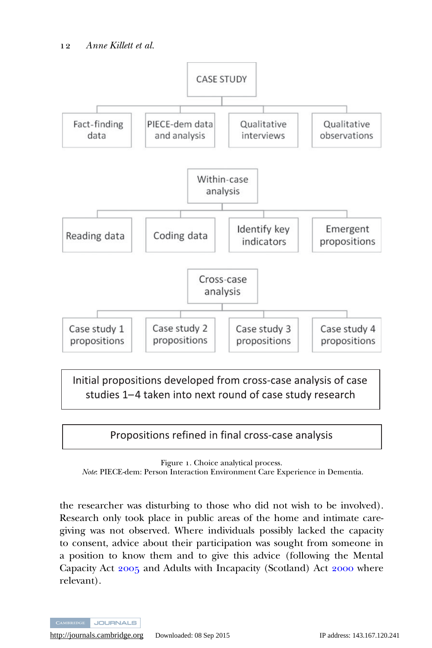<span id="page-12-0"></span>

studies 1–4 taken into next round of case study research

Propositions refined in final cross-case analysis

Figure 1. Choice analytical process.

Note: PIECE-dem: Person Interaction Environment Care Experience in Dementia.

the researcher was disturbing to those who did not wish to be involved). Research only took place in public areas of the home and intimate caregiving was not observed. Where individuals possibly lacked the capacity to consent, advice about their participation was sought from someone in a position to know them and to give this advice (following the Mental Capacity Act 2005 and Adults with Incapacity (Scotland) Act 2000 where relevant).

**CAMBRIDGE JOURNALS**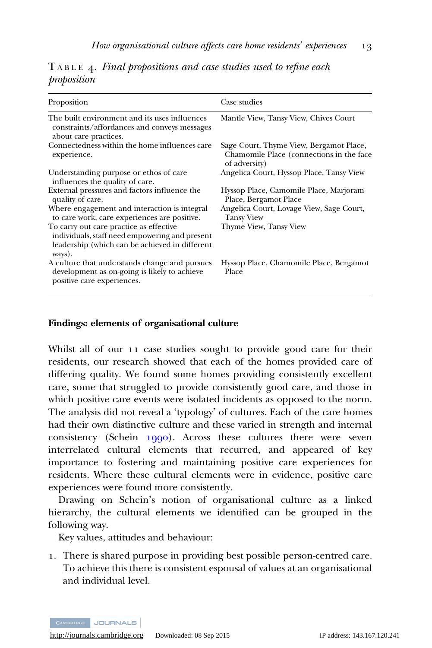| Proposition                                                                                                                                           | Case studies                                                                                          |
|-------------------------------------------------------------------------------------------------------------------------------------------------------|-------------------------------------------------------------------------------------------------------|
| The built environment and its uses influences<br>constraints/affordances and conveys messages<br>about care practices.                                | Mantle View, Tansy View, Chives Court                                                                 |
| Connectedness within the home influences care<br>experience.                                                                                          | Sage Court, Thyme View, Bergamot Place,<br>Chamomile Place (connections in the face)<br>of adversity) |
| Understanding purpose or ethos of care<br>influences the quality of care.                                                                             | Angelica Court, Hyssop Place, Tansy View                                                              |
| External pressures and factors influence the<br>quality of care.                                                                                      | Hyssop Place, Camomile Place, Marjoram<br>Place, Bergamot Place                                       |
| Where engagement and interaction is integral<br>to care work, care experiences are positive.                                                          | Angelica Court, Lovage View, Sage Court,<br><b>Tansy View</b>                                         |
| To carry out care practice as effective<br>individuals, staff need empowering and present<br>leadership (which can be achieved in different<br>ways). | Thyme View, Tansy View                                                                                |
| A culture that understands change and pursues<br>development as on-going is likely to achieve<br>positive care experiences.                           | Hyssop Place, Chamomile Place, Bergamot<br>Place                                                      |

<span id="page-13-0"></span>TABLE 4. Final propositions and case studies used to refine each proposition

## Findings: elements of organisational culture

Whilst all of our 11 case studies sought to provide good care for their residents, our research showed that each of the homes provided care of differing quality. We found some homes providing consistently excellent care, some that struggled to provide consistently good care, and those in which positive care events were isolated incidents as opposed to the norm. The analysis did not reveal a 'typology' of cultures. Each of the care homes had their own distinctive culture and these varied in strength and internal consistency (Schein  $1990$ ). Across these cultures there were seven interrelated cultural elements that recurred, and appeared of key importance to fostering and maintaining positive care experiences for residents. Where these cultural elements were in evidence, positive care experiences were found more consistently.

Drawing on Schein's notion of organisational culture as a linked hierarchy, the cultural elements we identified can be grouped in the following way.

Key values, attitudes and behaviour:

. There is shared purpose in providing best possible person-centred care. To achieve this there is consistent espousal of values at an organisational and individual level.

CAMBRIDGE JOURNALS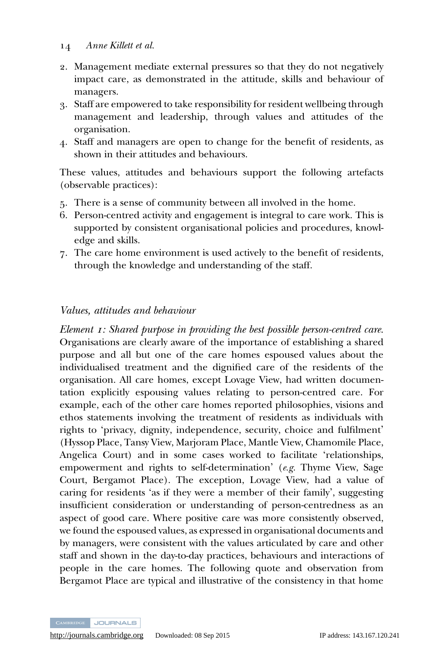## 14 Anne Killett et al.

- . Management mediate external pressures so that they do not negatively impact care, as demonstrated in the attitude, skills and behaviour of managers.
- . Staff are empowered to take responsibility for resident wellbeing through management and leadership, through values and attitudes of the organisation.
- . Staff and managers are open to change for the benefit of residents, as shown in their attitudes and behaviours.

These values, attitudes and behaviours support the following artefacts (observable practices):

- . There is a sense of community between all involved in the home.
- . Person-centred activity and engagement is integral to care work. This is supported by consistent organisational policies and procedures, knowledge and skills.
- . The care home environment is used actively to the benefit of residents, through the knowledge and understanding of the staff.

# Values, attitudes and behaviour

Element  $I$ : Shared purpose in providing the best possible person-centred care. Organisations are clearly aware of the importance of establishing a shared purpose and all but one of the care homes espoused values about the individualised treatment and the dignified care of the residents of the organisation. All care homes, except Lovage View, had written documentation explicitly espousing values relating to person-centred care. For example, each of the other care homes reported philosophies, visions and ethos statements involving the treatment of residents as individuals with rights to 'privacy, dignity, independence, security, choice and fulfilment' (Hyssop Place, Tansy View, Marjoram Place, Mantle View, Chamomile Place, Angelica Court) and in some cases worked to facilitate 'relationships, empowerment and rights to self-determination' (e.g. Thyme View, Sage Court, Bergamot Place). The exception, Lovage View, had a value of caring for residents 'as if they were a member of their family', suggesting insufficient consideration or understanding of person-centredness as an aspect of good care. Where positive care was more consistently observed, we found the espoused values, as expressed in organisational documents and by managers, were consistent with the values articulated by care and other staff and shown in the day-to-day practices, behaviours and interactions of people in the care homes. The following quote and observation from Bergamot Place are typical and illustrative of the consistency in that home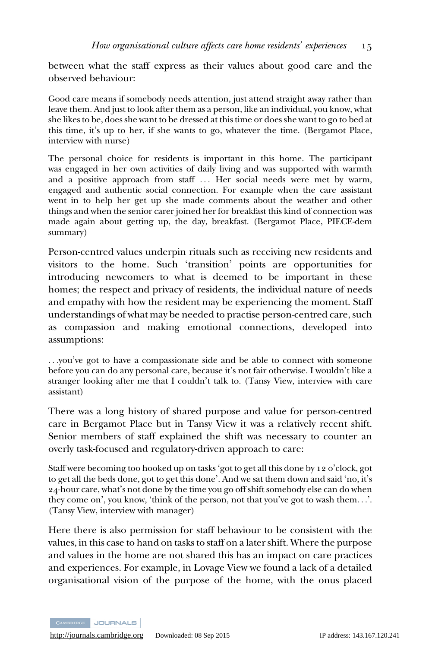between what the staff express as their values about good care and the observed behaviour:

Good care means if somebody needs attention, just attend straight away rather than leave them. And just to look after them as a person, like an individual, you know, what she likes to be, does she want to be dressed at this time or does she want to go to bed at this time, it's up to her, if she wants to go, whatever the time. (Bergamot Place, interview with nurse)

The personal choice for residents is important in this home. The participant was engaged in her own activities of daily living and was supported with warmth and a positive approach from staff ... Her social needs were met by warm, engaged and authentic social connection. For example when the care assistant went in to help her get up she made comments about the weather and other things and when the senior carer joined her for breakfast this kind of connection was made again about getting up, the day, breakfast. (Bergamot Place, PIECE-dem summary)

Person-centred values underpin rituals such as receiving new residents and visitors to the home. Such 'transition' points are opportunities for introducing newcomers to what is deemed to be important in these homes; the respect and privacy of residents, the individual nature of needs and empathy with how the resident may be experiencing the moment. Staff understandings of what may be needed to practise person-centred care, such as compassion and making emotional connections, developed into assumptions:

...you've got to have a compassionate side and be able to connect with someone before you can do any personal care, because it's not fair otherwise. I wouldn't like a stranger looking after me that I couldn't talk to. (Tansy View, interview with care assistant)

There was a long history of shared purpose and value for person-centred care in Bergamot Place but in Tansy View it was a relatively recent shift. Senior members of staff explained the shift was necessary to counter an overly task-focused and regulatory-driven approach to care:

Staff were becoming too hooked up on tasks 'got to get all this done by 12 o'clock, got to get all the beds done, got to get this done'. And we sat them down and said 'no, it's 24-hour care, what's not done by the time you go off shift somebody else can do when they come on', you know, 'think of the person, not that you've got to wash them...'. (Tansy View, interview with manager)

Here there is also permission for staff behaviour to be consistent with the values, in this case to hand on tasks to staff on a later shift. Where the purpose and values in the home are not shared this has an impact on care practices and experiences. For example, in Lovage View we found a lack of a detailed organisational vision of the purpose of the home, with the onus placed

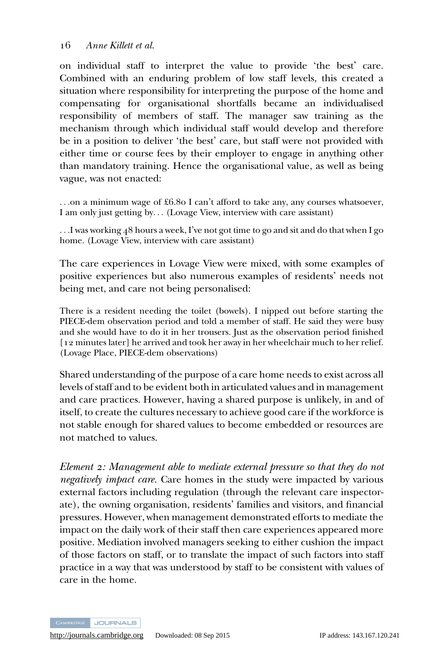## Anne Killett et al.

on individual staff to interpret the value to provide 'the best' care. Combined with an enduring problem of low staff levels, this created a situation where responsibility for interpreting the purpose of the home and compensating for organisational shortfalls became an individualised responsibility of members of staff. The manager saw training as the mechanism through which individual staff would develop and therefore be in a position to deliver 'the best' care, but staff were not provided with either time or course fees by their employer to engage in anything other than mandatory training. Hence the organisational value, as well as being vague, was not enacted:

 $\dots$  on a minimum wage of £6.80 I can't afford to take any, any courses whatsoever, I am only just getting by... (Lovage View, interview with care assistant)

 $\dots$  I was working 48 hours a week, I've not got time to go and sit and do that when I go home. (Lovage View, interview with care assistant)

The care experiences in Lovage View were mixed, with some examples of positive experiences but also numerous examples of residents' needs not being met, and care not being personalised:

There is a resident needing the toilet (bowels). I nipped out before starting the PIECE-dem observation period and told a member of staff. He said they were busy and she would have to do it in her trousers. Just as the observation period finished [12 minutes later] he arrived and took her away in her wheelchair much to her relief. (Lovage Place, PIECE-dem observations)

Shared understanding of the purpose of a care home needs to exist across all levels of staff and to be evident both in articulated values and in management and care practices. However, having a shared purpose is unlikely, in and of itself, to create the cultures necessary to achieve good care if the workforce is not stable enough for shared values to become embedded or resources are not matched to values.

Element  $\mathfrak{a}:$  Management able to mediate external pressure so that they do not negatively impact care. Care homes in the study were impacted by various external factors including regulation (through the relevant care inspectorate), the owning organisation, residents' families and visitors, and financial pressures. However, when management demonstrated efforts to mediate the impact on the daily work of their staff then care experiences appeared more positive. Mediation involved managers seeking to either cushion the impact of those factors on staff, or to translate the impact of such factors into staff practice in a way that was understood by staff to be consistent with values of care in the home.

<http://journals.cambridge.org> Downloaded: 08 Sep 2015 IP address: 143.167.120.241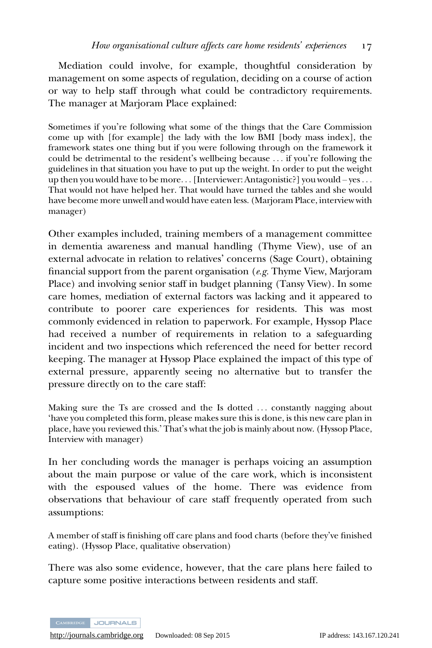Mediation could involve, for example, thoughtful consideration by management on some aspects of regulation, deciding on a course of action or way to help staff through what could be contradictory requirements. The manager at Marjoram Place explained:

Sometimes if you're following what some of the things that the Care Commission come up with [for example] the lady with the low BMI [body mass index], the framework states one thing but if you were following through on the framework it could be detrimental to the resident's wellbeing because ... if you're following the guidelines in that situation you have to put up the weight. In order to put the weight up then you would have to be more... [Interviewer: Antagonistic?] you would – yes ... That would not have helped her. That would have turned the tables and she would have become more unwell and would have eaten less. (Marjoram Place, interview with manager)

Other examples included, training members of a management committee in dementia awareness and manual handling (Thyme View), use of an external advocate in relation to relatives' concerns (Sage Court), obtaining financial support from the parent organisation (e.g. Thyme View, Marjoram Place) and involving senior staff in budget planning (Tansy View). In some care homes, mediation of external factors was lacking and it appeared to contribute to poorer care experiences for residents. This was most commonly evidenced in relation to paperwork. For example, Hyssop Place had received a number of requirements in relation to a safeguarding incident and two inspections which referenced the need for better record keeping. The manager at Hyssop Place explained the impact of this type of external pressure, apparently seeing no alternative but to transfer the pressure directly on to the care staff:

Making sure the Ts are crossed and the Is dotted ... constantly nagging about 'have you completed this form, please makes sure this is done, is this new care plan in place, have you reviewed this.' That's what the job is mainly about now. (Hyssop Place, Interview with manager)

In her concluding words the manager is perhaps voicing an assumption about the main purpose or value of the care work, which is inconsistent with the espoused values of the home. There was evidence from observations that behaviour of care staff frequently operated from such assumptions:

A member of staff is finishing off care plans and food charts (before they've finished eating). (Hyssop Place, qualitative observation)

There was also some evidence, however, that the care plans here failed to capture some positive interactions between residents and staff.

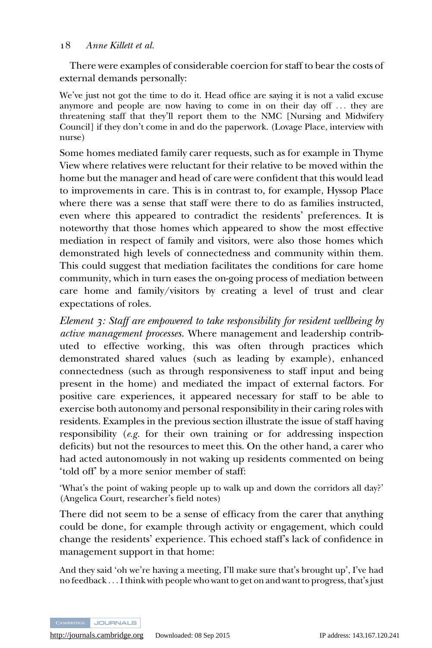## 18 Anne Killett et al.

There were examples of considerable coercion for staff to bear the costs of external demands personally:

We've just not got the time to do it. Head office are saying it is not a valid excuse anymore and people are now having to come in on their day off ... they are threatening staff that they'll report them to the NMC [Nursing and Midwifery Council] if they don't come in and do the paperwork. (Lovage Place, interview with nurse)

Some homes mediated family carer requests, such as for example in Thyme View where relatives were reluctant for their relative to be moved within the home but the manager and head of care were confident that this would lead to improvements in care. This is in contrast to, for example, Hyssop Place where there was a sense that staff were there to do as families instructed, even where this appeared to contradict the residents' preferences. It is noteworthy that those homes which appeared to show the most effective mediation in respect of family and visitors, were also those homes which demonstrated high levels of connectedness and community within them. This could suggest that mediation facilitates the conditions for care home community, which in turn eases the on-going process of mediation between care home and family/visitors by creating a level of trust and clear expectations of roles.

Element  $\mathfrak{z}$ : Staff are empowered to take responsibility for resident wellbeing by active management processes. Where management and leadership contributed to effective working, this was often through practices which demonstrated shared values (such as leading by example), enhanced connectedness (such as through responsiveness to staff input and being present in the home) and mediated the impact of external factors. For positive care experiences, it appeared necessary for staff to be able to exercise both autonomy and personal responsibility in their caring roles with residents. Examples in the previous section illustrate the issue of staff having responsibility (e.g. for their own training or for addressing inspection deficits) but not the resources to meet this. On the other hand, a carer who had acted autonomously in not waking up residents commented on being 'told off' by a more senior member of staff:

'What's the point of waking people up to walk up and down the corridors all day?' (Angelica Court, researcher's field notes)

There did not seem to be a sense of efficacy from the carer that anything could be done, for example through activity or engagement, which could change the residents' experience. This echoed staff's lack of confidence in management support in that home:

And they said 'oh we're having a meeting, I'll make sure that's brought up', I've had no feedback ... I think with people who want to get on and want to progress, that's just

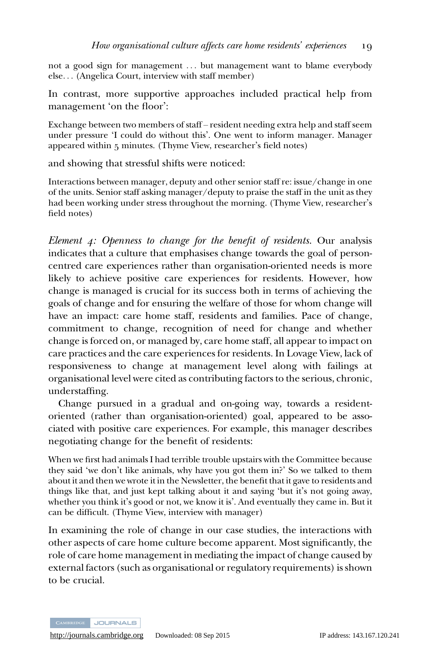not a good sign for management ... but management want to blame everybody else... (Angelica Court, interview with staff member)

In contrast, more supportive approaches included practical help from management 'on the floor':

Exchange between two members of staff – resident needing extra help and staff seem under pressure 'I could do without this'. One went to inform manager. Manager appeared within 5 minutes. (Thyme View, researcher's field notes)

and showing that stressful shifts were noticed:

Interactions between manager, deputy and other senior staff re: issue/change in one of the units. Senior staff asking manager/deputy to praise the staff in the unit as they had been working under stress throughout the morning. (Thyme View, researcher's field notes)

Element  $\overline{4}$ : Openness to change for the benefit of residents. Our analysis indicates that a culture that emphasises change towards the goal of personcentred care experiences rather than organisation-oriented needs is more likely to achieve positive care experiences for residents. However, how change is managed is crucial for its success both in terms of achieving the goals of change and for ensuring the welfare of those for whom change will have an impact: care home staff, residents and families. Pace of change, commitment to change, recognition of need for change and whether change is forced on, or managed by, care home staff, all appear to impact on care practices and the care experiences for residents. In Lovage View, lack of responsiveness to change at management level along with failings at organisational level were cited as contributing factors to the serious, chronic, understaffing.

Change pursued in a gradual and on-going way, towards a residentoriented (rather than organisation-oriented) goal, appeared to be associated with positive care experiences. For example, this manager describes negotiating change for the benefit of residents:

When we first had animals I had terrible trouble upstairs with the Committee because they said 'we don't like animals, why have you got them in?' So we talked to them about it and then we wrote it in the Newsletter, the benefit that it gave to residents and things like that, and just kept talking about it and saying 'but it's not going away, whether you think it's good or not, we know it is'. And eventually they came in. But it can be difficult. (Thyme View, interview with manager)

In examining the role of change in our case studies, the interactions with other aspects of care home culture become apparent. Most significantly, the role of care home management in mediating the impact of change caused by external factors (such as organisational or regulatory requirements) is shown to be crucial.

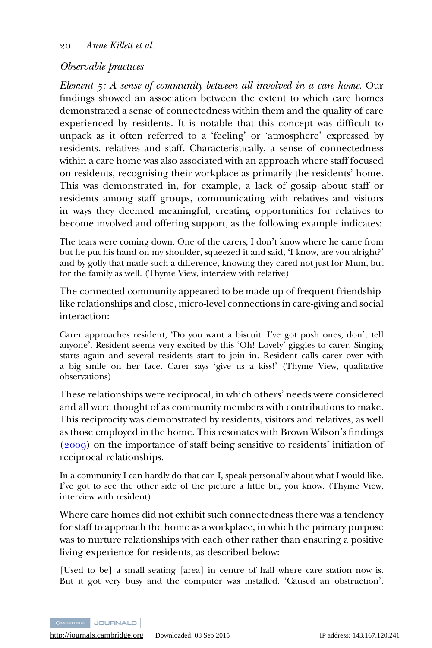## Observable practices

Element  $\tau$ : A sense of community between all involved in a care home. Our findings showed an association between the extent to which care homes demonstrated a sense of connectedness within them and the quality of care experienced by residents. It is notable that this concept was difficult to unpack as it often referred to a 'feeling' or 'atmosphere' expressed by residents, relatives and staff. Characteristically, a sense of connectedness within a care home was also associated with an approach where staff focused on residents, recognising their workplace as primarily the residents' home. This was demonstrated in, for example, a lack of gossip about staff or residents among staff groups, communicating with relatives and visitors in ways they deemed meaningful, creating opportunities for relatives to become involved and offering support, as the following example indicates:

The tears were coming down. One of the carers, I don't know where he came from but he put his hand on my shoulder, squeezed it and said, 'I know, are you alright?' and by golly that made such a difference, knowing they cared not just for Mum, but for the family as well. (Thyme View, interview with relative)

The connected community appeared to be made up of frequent friendshiplike relationships and close, micro-level connections in care-giving and social interaction:

Carer approaches resident, 'Do you want a biscuit. I've got posh ones, don't tell anyone'. Resident seems very excited by this 'Oh! Lovely' giggles to carer. Singing starts again and several residents start to join in. Resident calls carer over with a big smile on her face. Carer says 'give us a kiss!' (Thyme View, qualitative observations)

These relationships were reciprocal, in which others' needs were considered and all were thought of as community members with contributions to make. This reciprocity was demonstrated by residents, visitors and relatives, as well as those employed in the home. This resonates with Brown Wilson's findings  $(2009)$  on the importance of staff being sensitive to residents' initiation of reciprocal relationships.

In a community I can hardly do that can I, speak personally about what I would like. I've got to see the other side of the picture a little bit, you know. (Thyme View, interview with resident)

Where care homes did not exhibit such connectedness there was a tendency for staff to approach the home as a workplace, in which the primary purpose was to nurture relationships with each other rather than ensuring a positive living experience for residents, as described below:

[Used to be] a small seating [area] in centre of hall where care station now is. But it got very busy and the computer was installed. 'Caused an obstruction'.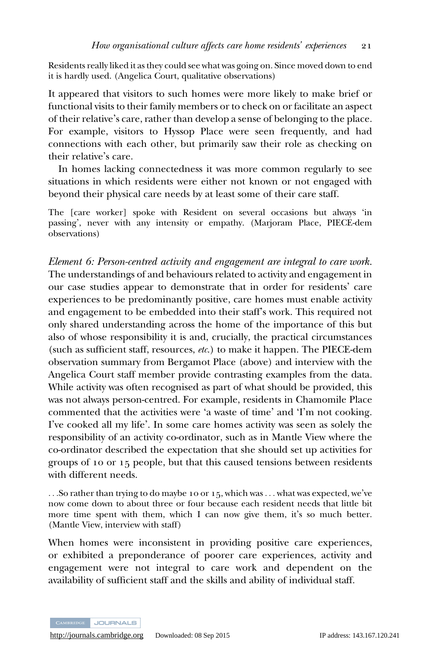Residents really liked it as they could see what was going on. Since moved down to end it is hardly used. (Angelica Court, qualitative observations)

It appeared that visitors to such homes were more likely to make brief or functional visits to their family members or to check on or facilitate an aspect of their relative's care, rather than develop a sense of belonging to the place. For example, visitors to Hyssop Place were seen frequently, and had connections with each other, but primarily saw their role as checking on their relative's care.

In homes lacking connectedness it was more common regularly to see situations in which residents were either not known or not engaged with beyond their physical care needs by at least some of their care staff.

The [care worker] spoke with Resident on several occasions but always 'in passing', never with any intensity or empathy. (Marjoram Place, PIECE-dem observations)

Element 6: Person-centred activity and engagement are integral to care work. The understandings of and behaviours related to activity and engagement in our case studies appear to demonstrate that in order for residents' care experiences to be predominantly positive, care homes must enable activity and engagement to be embedded into their staff's work. This required not only shared understanding across the home of the importance of this but also of whose responsibility it is and, crucially, the practical circumstances (such as sufficient staff, resources, etc.) to make it happen. The PIECE-dem observation summary from Bergamot Place (above) and interview with the Angelica Court staff member provide contrasting examples from the data. While activity was often recognised as part of what should be provided, this was not always person-centred. For example, residents in Chamomile Place commented that the activities were 'a waste of time' and 'I'm not cooking. I've cooked all my life'. In some care homes activity was seen as solely the responsibility of an activity co-ordinator, such as in Mantle View where the co-ordinator described the expectation that she should set up activities for groups of 10 or 15 people, but that this caused tensions between residents with different needs.

 $\ldots$ So rather than trying to do maybe 10 or 15, which was  $\ldots$  what was expected, we've now come down to about three or four because each resident needs that little bit more time spent with them, which I can now give them, it's so much better. (Mantle View, interview with staff)

When homes were inconsistent in providing positive care experiences, or exhibited a preponderance of poorer care experiences, activity and engagement were not integral to care work and dependent on the availability of sufficient staff and the skills and ability of individual staff.

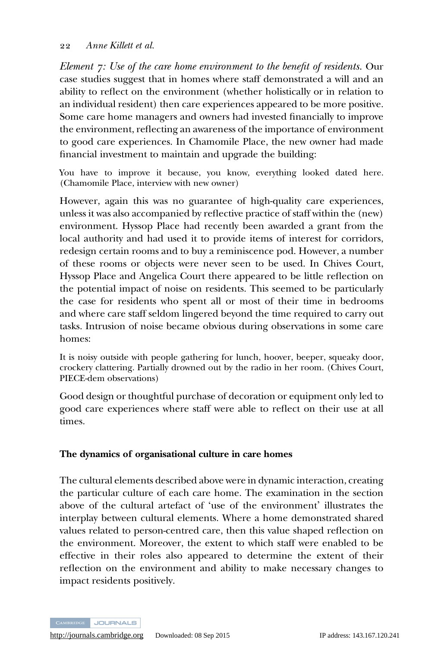## Anne Killett et al.

Element  $\tau$ : Use of the care home environment to the benefit of residents. Our case studies suggest that in homes where staff demonstrated a will and an ability to reflect on the environment (whether holistically or in relation to an individual resident) then care experiences appeared to be more positive. Some care home managers and owners had invested financially to improve the environment, reflecting an awareness of the importance of environment to good care experiences. In Chamomile Place, the new owner had made financial investment to maintain and upgrade the building:

You have to improve it because, you know, everything looked dated here. (Chamomile Place, interview with new owner)

However, again this was no guarantee of high-quality care experiences, unless it was also accompanied by reflective practice of staff within the (new) environment. Hyssop Place had recently been awarded a grant from the local authority and had used it to provide items of interest for corridors, redesign certain rooms and to buy a reminiscence pod. However, a number of these rooms or objects were never seen to be used. In Chives Court, Hyssop Place and Angelica Court there appeared to be little reflection on the potential impact of noise on residents. This seemed to be particularly the case for residents who spent all or most of their time in bedrooms and where care staff seldom lingered beyond the time required to carry out tasks. Intrusion of noise became obvious during observations in some care homes:

It is noisy outside with people gathering for lunch, hoover, beeper, squeaky door, crockery clattering. Partially drowned out by the radio in her room. (Chives Court, PIECE-dem observations)

Good design or thoughtful purchase of decoration or equipment only led to good care experiences where staff were able to reflect on their use at all times.

## The dynamics of organisational culture in care homes

The cultural elements described above were in dynamic interaction, creating the particular culture of each care home. The examination in the section above of the cultural artefact of 'use of the environment' illustrates the interplay between cultural elements. Where a home demonstrated shared values related to person-centred care, then this value shaped reflection on the environment. Moreover, the extent to which staff were enabled to be effective in their roles also appeared to determine the extent of their reflection on the environment and ability to make necessary changes to impact residents positively.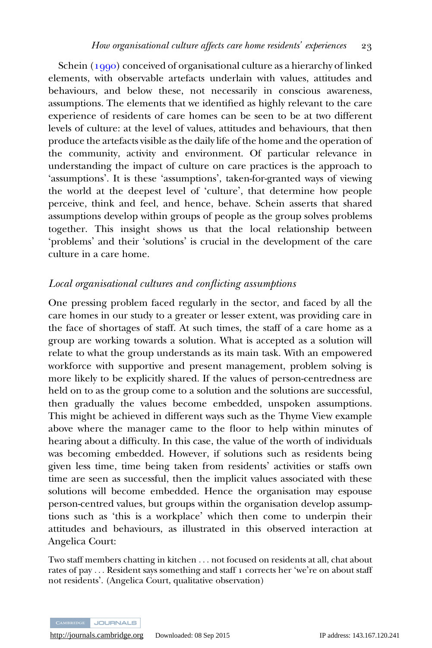Schein (1990) conceived of organisational culture as a hierarchy of linked elements, with observable artefacts underlain with values, attitudes and behaviours, and below these, not necessarily in conscious awareness, assumptions. The elements that we identified as highly relevant to the care experience of residents of care homes can be seen to be at two different levels of culture: at the level of values, attitudes and behaviours, that then produce the artefacts visible as the daily life of the home and the operation of the community, activity and environment. Of particular relevance in understanding the impact of culture on care practices is the approach to 'assumptions'. It is these 'assumptions', taken-for-granted ways of viewing the world at the deepest level of 'culture', that determine how people perceive, think and feel, and hence, behave. Schein asserts that shared assumptions develop within groups of people as the group solves problems together. This insight shows us that the local relationship between 'problems' and their 'solutions' is crucial in the development of the care culture in a care home.

## Local organisational cultures and conflicting assumptions

One pressing problem faced regularly in the sector, and faced by all the care homes in our study to a greater or lesser extent, was providing care in the face of shortages of staff. At such times, the staff of a care home as a group are working towards a solution. What is accepted as a solution will relate to what the group understands as its main task. With an empowered workforce with supportive and present management, problem solving is more likely to be explicitly shared. If the values of person-centredness are held on to as the group come to a solution and the solutions are successful, then gradually the values become embedded, unspoken assumptions. This might be achieved in different ways such as the Thyme View example above where the manager came to the floor to help within minutes of hearing about a difficulty. In this case, the value of the worth of individuals was becoming embedded. However, if solutions such as residents being given less time, time being taken from residents' activities or staffs own time are seen as successful, then the implicit values associated with these solutions will become embedded. Hence the organisation may espouse person-centred values, but groups within the organisation develop assumptions such as 'this is a workplace' which then come to underpin their attitudes and behaviours, as illustrated in this observed interaction at Angelica Court:

Two staff members chatting in kitchen ... not focused on residents at all, chat about rates of pay ... Resident says something and staff 1 corrects her 'we're on about staff not residents'. (Angelica Court, qualitative observation)

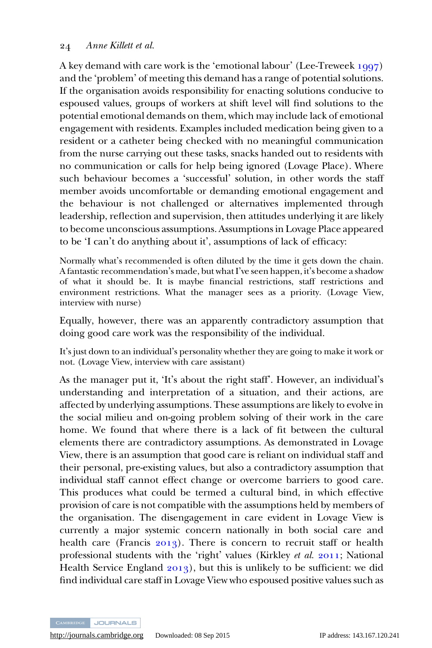A key demand with care work is the 'emotional labour' (Lee-Treweek  $1997$ ) and the 'problem' of meeting this demand has a range of potential solutions. If the organisation avoids responsibility for enacting solutions conducive to espoused values, groups of workers at shift level will find solutions to the potential emotional demands on them, which may include lack of emotional engagement with residents. Examples included medication being given to a resident or a catheter being checked with no meaningful communication from the nurse carrying out these tasks, snacks handed out to residents with no communication or calls for help being ignored (Lovage Place). Where such behaviour becomes a 'successful' solution, in other words the staff member avoids uncomfortable or demanding emotional engagement and the behaviour is not challenged or alternatives implemented through leadership, reflection and supervision, then attitudes underlying it are likely to become unconscious assumptions. Assumptions in Lovage Place appeared to be 'I can't do anything about it', assumptions of lack of efficacy:

Normally what's recommended is often diluted by the time it gets down the chain. A fantastic recommendation's made, but what I've seen happen, it's become a shadow of what it should be. It is maybe financial restrictions, staff restrictions and environment restrictions. What the manager sees as a priority. (Lovage View, interview with nurse)

Equally, however, there was an apparently contradictory assumption that doing good care work was the responsibility of the individual.

It's just down to an individual's personality whether they are going to make it work or not. (Lovage View, interview with care assistant)

As the manager put it, 'It's about the right staff'. However, an individual's understanding and interpretation of a situation, and their actions, are affected by underlying assumptions. These assumptions are likely to evolve in the social milieu and on-going problem solving of their work in the care home. We found that where there is a lack of fit between the cultural elements there are contradictory assumptions. As demonstrated in Lovage View, there is an assumption that good care is reliant on individual staff and their personal, pre-existing values, but also a contradictory assumption that individual staff cannot effect change or overcome barriers to good care. This produces what could be termed a cultural bind, in which effective provision of care is not compatible with the assumptions held by members of the organisation. The disengagement in care evident in Lovage View is currently a major systemic concern nationally in both social care and health care (Francis  $2013$ ). There is concern to recruit staff or health professional students with the 'right' values (Kirkley *et al.*  $2011$ ; National Health Service England  $2013$ , but this is unlikely to be sufficient: we did find individual care staff in Lovage View who espoused positive values such as

CAMBRIDGE JOURNALS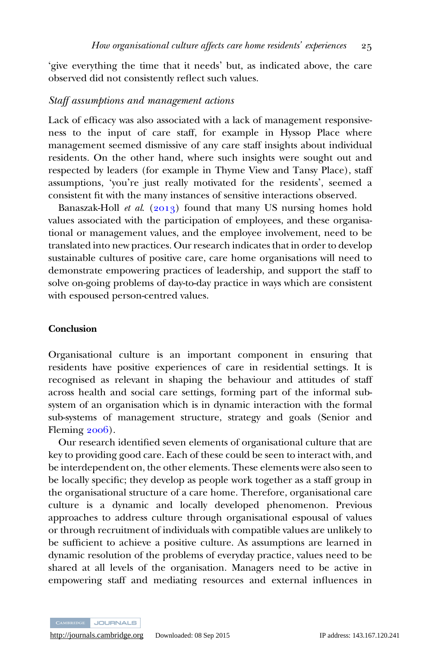'give everything the time that it needs' but, as indicated above, the care observed did not consistently reflect such values.

#### Staff assumptions and management actions

Lack of efficacy was also associated with a lack of management responsiveness to the input of care staff, for example in Hyssop Place where management seemed dismissive of any care staff insights about individual residents. On the other hand, where such insights were sought out and respected by leaders (for example in Thyme View and Tansy Place), staff assumptions, 'you're just really motivated for the residents', seemed a consistent fit with the many instances of sensitive interactions observed.

Banaszak-Holl et al.  $(2013)$  found that many US nursing homes hold values associated with the participation of employees, and these organisational or management values, and the employee involvement, need to be translated into new practices. Our research indicates that in order to develop sustainable cultures of positive care, care home organisations will need to demonstrate empowering practices of leadership, and support the staff to solve on-going problems of day-to-day practice in ways which are consistent with espoused person-centred values.

#### **Conclusion**

Organisational culture is an important component in ensuring that residents have positive experiences of care in residential settings. It is recognised as relevant in shaping the behaviour and attitudes of staff across health and social care settings, forming part of the informal subsystem of an organisation which is in dynamic interaction with the formal sub-systems of management structure, strategy and goals (Senior and Fleming  $2006$ ).

Our research identified seven elements of organisational culture that are key to providing good care. Each of these could be seen to interact with, and be interdependent on, the other elements. These elements were also seen to be locally specific; they develop as people work together as a staff group in the organisational structure of a care home. Therefore, organisational care culture is a dynamic and locally developed phenomenon. Previous approaches to address culture through organisational espousal of values or through recruitment of individuals with compatible values are unlikely to be sufficient to achieve a positive culture. As assumptions are learned in dynamic resolution of the problems of everyday practice, values need to be shared at all levels of the organisation. Managers need to be active in empowering staff and mediating resources and external influences in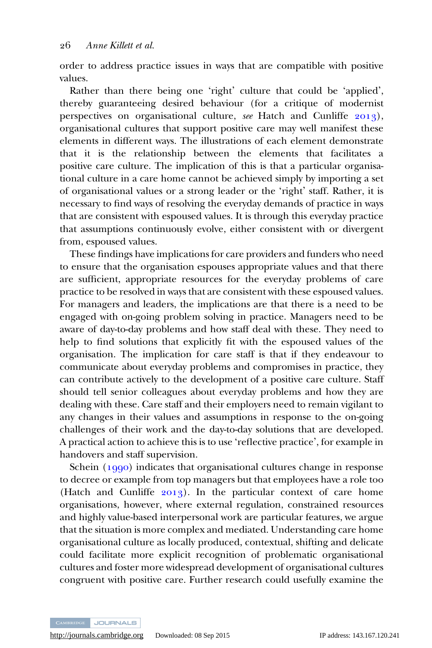order to address practice issues in ways that are compatible with positive values.

Rather than there being one 'right' culture that could be 'applied', thereby guaranteeing desired behaviour (for a critique of modernist perspectives on organisational culture, see Hatch and Cunliffe  $2013$ , organisational cultures that support positive care may well manifest these elements in different ways. The illustrations of each element demonstrate that it is the relationship between the elements that facilitates a positive care culture. The implication of this is that a particular organisational culture in a care home cannot be achieved simply by importing a set of organisational values or a strong leader or the 'right' staff. Rather, it is necessary to find ways of resolving the everyday demands of practice in ways that are consistent with espoused values. It is through this everyday practice that assumptions continuously evolve, either consistent with or divergent from, espoused values.

These findings have implications for care providers and funders who need to ensure that the organisation espouses appropriate values and that there are sufficient, appropriate resources for the everyday problems of care practice to be resolved in ways that are consistent with these espoused values. For managers and leaders, the implications are that there is a need to be engaged with on-going problem solving in practice. Managers need to be aware of day-to-day problems and how staff deal with these. They need to help to find solutions that explicitly fit with the espoused values of the organisation. The implication for care staff is that if they endeavour to communicate about everyday problems and compromises in practice, they can contribute actively to the development of a positive care culture. Staff should tell senior colleagues about everyday problems and how they are dealing with these. Care staff and their employers need to remain vigilant to any changes in their values and assumptions in response to the on-going challenges of their work and the day-to-day solutions that are developed. A practical action to achieve this is to use 'reflective practice', for example in handovers and staff supervision.

Schein  $(1990)$  indicates that organisational cultures change in response to decree or example from top managers but that employees have a role too (Hatch and Cunliffe  $2013$ ). In the particular context of care home organisations, however, where external regulation, constrained resources and highly value-based interpersonal work are particular features, we argue that the situation is more complex and mediated. Understanding care home organisational culture as locally produced, contextual, shifting and delicate could facilitate more explicit recognition of problematic organisational cultures and foster more widespread development of organisational cultures congruent with positive care. Further research could usefully examine the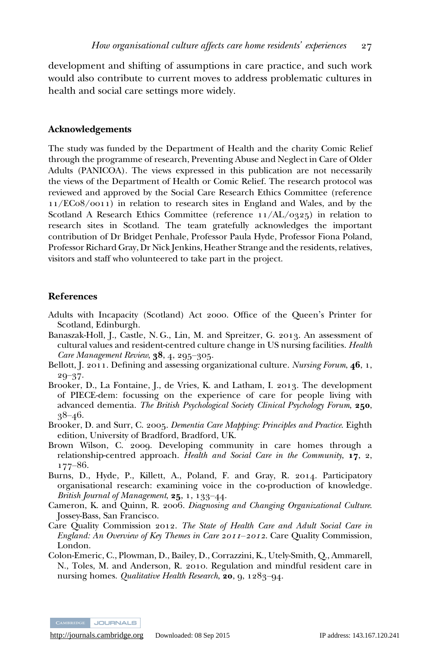<span id="page-27-0"></span>development and shifting of assumptions in care practice, and such work would also contribute to current moves to address problematic cultures in health and social care settings more widely.

#### Acknowledgements

The study was funded by the Department of Health and the charity Comic Relief through the programme of research, Preventing Abuse and Neglect in Care of Older Adults (PANICOA). The views expressed in this publication are not necessarily the views of the Department of Health or Comic Relief. The research protocol was reviewed and approved by the Social Care Research Ethics Committee (reference  $11/ECo8/0011$ ) in relation to research sites in England and Wales, and by the Scotland A Research Ethics Committee (reference  $11/AL/0325$ ) in relation to research sites in Scotland. The team gratefully acknowledges the important contribution of Dr Bridget Penhale, Professor Paula Hyde, Professor Fiona Poland, Professor Richard Gray, Dr Nick Jenkins, Heather Strange and the residents, relatives, visitors and staff who volunteered to take part in the project.

#### References

- Adults with Incapacity (Scotland) Act 2000. Office of the Queen's Printer for Scotland, Edinburgh.
- Banaszak-Holl, J., Castle, N. G., Lin, M. and Spreitzer, G. 2013. An assessment of cultural values and resident-centred culture change in US nursing facilities. Health Care Management Review,  $38, 4, 295 - 305$ .
- Bellott, J. 2011. Defining and assessing organizational culture. Nursing Forum,  $46$ , 1,  $29 - 37.$
- Brooker, D., La Fontaine, J., de Vries, K. and Latham, I. 2013. The development of PIECE-dem: focussing on the experience of care for people living with advanced dementia. The British Psychological Society Clinical Psychology Forum, 250,  $38 - 46.$
- Brooker, D. and Surr, C. 2005. Dementia Care Mapping: Principles and Practice. Eighth edition, University of Bradford, Bradford, UK.
- Brown Wilson, C. 2009. Developing community in care homes through a relationship-centred approach. Health and Social Care in the Community,  $17, 2$ ,  $177 - 86.$
- Burns, D., Hyde, P., Killett, A., Poland, F. and Gray, R. 2014. Participatory organisational research: examining voice in the co-production of knowledge. British Journal of Management,  $25, 1, 133-44$ .
- Cameron, K. and Quinn, R. 2006. Diagnosing and Changing Organizational Culture. Jossey-Bass, San Francisco.
- Care Quality Commission 2012. The State of Health Care and Adult Social Care in England: An Overview of Key Themes in Care 2011–2012. Care Quality Commission, London.
- Colon-Emeric, C., Plowman, D., Bailey, D., Corrazzini, K., Utely-Smith, Q., Ammarell, N., Toles, M. and Anderson, R. 2010. Regulation and mindful resident care in nursing homes. *Qualitative Health Research*, **20**, 9,  $1283-94$ .

**CAMBRIDGE JOURNALS**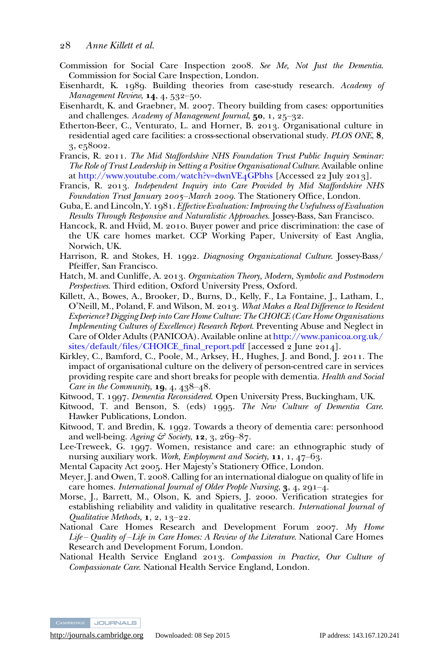- <span id="page-28-0"></span>Commission for Social Care Inspection 2008. See Me, Not Just the Dementia. Commission for Social Care Inspection, London.
- Eisenhardt, K. 1989. Building theories from case-study research. Academy of Management Review, 14, 4, 532-50.
- Eisenhardt, K. and Graebner, M. 2007. Theory building from cases: opportunities and challenges. Academy of Management Journal,  $50, 1, 25-32$ .
- Etherton-Beer, C., Venturato, L. and Horner, B. 2013. Organisational culture in residential aged care facilities: a cross-sectional observational study. PLOS ONE,  $\mathbf{8}$ , 3, e58002.
- Francis, R. 2011. The Mid Staffordshire NHS Foundation Trust Public Inquiry Seminar: The Role of Trust Leadership in Setting a Positive Organisational Culture. Available online at [http://www.youtube.com/watch?v=dwnVE](http://www.youtube.com/watch?v=dwnVE4GPbhs)4GPbhs [Accessed 22 [uly 2013].
- Francis, R. 2013. Independent Inquiry into Care Provided by Mid Staffordshire NHS Foundation Trust January 2005–March 2009. The Stationery Office, London.
- Guba, E. and Lincoln, Y. 1981. Effective Evaluation: Improving the Usefulness of Evaluation Results Through Responsive and Naturalistic Approaches. Jossey-Bass, San Francisco.
- Hancock, R. and Hviid, M. 2010. Buyer power and price discrimination: the case of the UK care homes market. CCP Working Paper, University of East Anglia, Norwich, UK.
- Harrison, R. and Stokes, H. 1992. Diagnosing Organizational Culture. Jossey-Bass/ Pfeiffer, San Francisco.
- Hatch, M. and Cunliffe, A. 2013. Organization Theory, Modern, Symbolic and Postmodern Perspectives. Third edition, Oxford University Press, Oxford.
- Killett, A., Bowes, A., Brooker, D., Burns, D., Kelly, F., La Fontaine, J., Latham, I., O'Neill, M., Poland, F. and Wilson, M. 2013. What Makes a Real Difference to Resident Experience? Digging Deep into Care Home Culture: The CHOICE (Care Home Organisations Implementing Cultures of Excellence) Research Report. Preventing Abuse and Neglect in Care of Older Adults (PANICOA). Available online at [http://www.panicoa.org.uk/](http://www.panicoa.org.uk/sites/default/files/CHOICE_final_report.pdf)  $sites/default/files/CHOICE$  fi[nal\\_report.pdf](http://www.panicoa.org.uk/sites/default/files/CHOICE_final_report.pdf) [accessed  $\alpha$  ]une  $2014$ ].
- Kirkley, C., Bamford, C., Poole, M., Arksey, H., Hughes, J. and Bond, J. 2011. The impact of organisational culture on the delivery of person-centred care in services providing respite care and short breaks for people with dementia. Health and Social Care in the Community,  $19, 4, 438 - 48$ .
- Kitwood, T. 1997. Dementia Reconsidered. Open University Press, Buckingham, UK.
- Kitwood, T. and Benson, S. (eds) 1995. The New Culture of Dementia Care. Hawker Publications, London.
- Kitwood, T. and Bredin, K. 1992. Towards a theory of dementia care: personhood and well-being. Ageing  $\mathcal{E}$  Society, 12, 3, 269–87.
- Lee-Treweek, G. 1997. Women, resistance and care: an ethnographic study of nursing auxiliary work. Work, *Employment and Society*,  $11, 1, 47-63$ .
- Mental Capacity Act 2005. Her Majesty's Stationery Office, London.
- Meyer, J. and Owen, T. 2008. Calling for an international dialogue on quality of life in care homes. International Journal of Older People Nursing,  $3, 4, 291-4$ .
- Morse, J., Barrett, M., Olson, K. and Spiers, J. 2000. Verification strategies for establishing reliability and validity in qualitative research. *International Journal of* Qualitative Methods,  $1, 2, 13-22$ .
- National Care Homes Research and Development Forum 2007. My Home Life – Quality of –Life in Care Homes: A Review of the Literature. National Care Homes Research and Development Forum, London.
- National Health Service England 2013. Compassion in Practice, Our Culture of Compassionate Care. National Health Service England, London.

 $CAMBRIDGE$ **JOURNALS** 

<http://journals.cambridge.org> Downloaded: 08 Sep 2015 IP address: 143.167.120.241